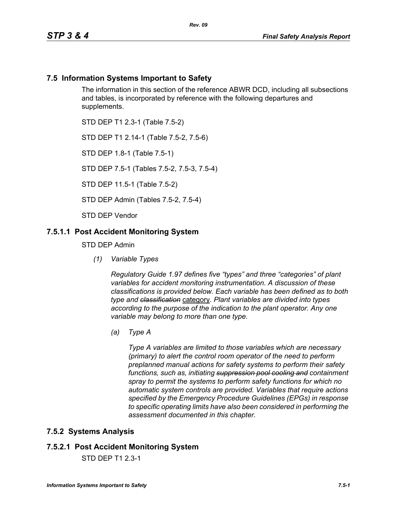### **7.5 Information Systems Important to Safety**

The information in this section of the reference ABWR DCD, including all subsections and tables, is incorporated by reference with the following departures and supplements.

STD DEP T1 2.3-1 (Table 7.5-2)

STD DEP T1 2.14-1 (Table 7.5-2, 7.5-6)

STD DEP 1.8-1 (Table 7.5-1)

STD DEP 7.5-1 (Tables 7.5-2, 7.5-3, 7.5-4)

STD DEP 11.5-1 (Table 7.5-2)

STD DEP Admin (Tables 7.5-2, 7.5-4)

STD DEP Vendor

#### **7.5.1.1 Post Accident Monitoring System**

STD DEP Admin

*(1) Variable Types*

*Regulatory Guide 1.97 defines five "types" and three "categories" of plant variables for accident monitoring instrumentation. A discussion of these classifications is provided below. Each variable has been defined as to both type and classification* category*. Plant variables are divided into types according to the purpose of the indication to the plant operator. Any one variable may belong to more than one type.*

*(a) Type A*

*Type A variables are limited to those variables which are necessary (primary) to alert the control room operator of the need to perform preplanned manual actions for safety systems to perform their safety functions, such as, initiating suppression pool cooling and containment spray to permit the systems to perform safety functions for which no automatic system controls are provided. Variables that require actions specified by the Emergency Procedure Guidelines (EPGs) in response to specific operating limits have also been considered in performing the assessment documented in this chapter.*

### **7.5.2 Systems Analysis**

### **7.5.2.1 Post Accident Monitoring System**

STD DEP T1 2.3-1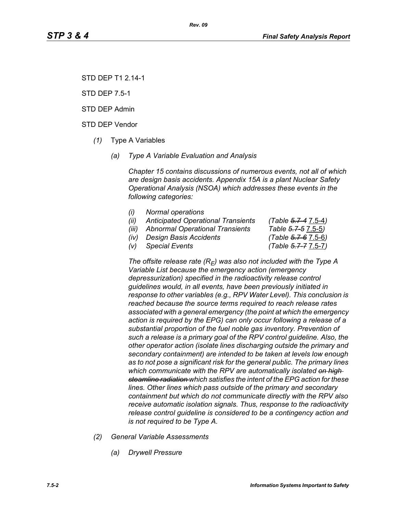STD DEP T1 2.14-1

STD DEP 7.5-1

STD DEP Admin

STD DEP Vendor

- *(1)* Type A Variables
	- *(a) Type A Variable Evaluation and Analysis*

*Chapter 15 contains discussions of numerous events, not all of which are design basis accidents. Appendix 15A is a plant Nuclear Safety Operational Analysis (NSOA) which addresses these events in the following categories:*

- *(i) Normal operations*
- *(ii) Anticipated Operational Transients (Table 5.7-4* 7.5-4*)*
- *(iii) Abnormal Operational Transients Table 5.7-5* 7.5-5*)*
- *(iv) Design Basis Accidents (Table 5.7-6* 7.5-6*)*

*(v) Special Events (Table 5.7-7* 7.5-7*)*

The offsite release rate  $(R_E)$  was also not included with the Type A *Variable List because the emergency action (emergency depressurization) specified in the radioactivity release control guidelines would, in all events, have been previously initiated in response to other variables (e.g., RPV Water Level). This conclusion is reached because the source terms required to reach release rates associated with a general emergency (the point at which the emergency action is required by the EPG) can only occur following a release of a substantial proportion of the fuel noble gas inventory. Prevention of such a release is a primary goal of the RPV control guideline. Also, the other operator action (isolate lines discharging outside the primary and secondary containment) are intended to be taken at levels low enough as to not pose a significant risk for the general public. The primary lines which communicate with the RPV are automatically isolated on high steamline radiation which satisfies the intent of the EPG action for these lines. Other lines which pass outside of the primary and secondary containment but which do not communicate directly with the RPV also receive automatic isolation signals. Thus, response to the radioactivity release control guideline is considered to be a contingency action and is not required to be Type A.*

- *(2) General Variable Assessments*
	- *(a) Drywell Pressure*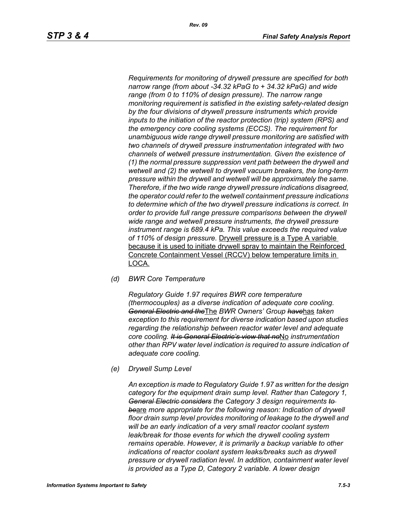*Requirements for monitoring of drywell pressure are specified for both narrow range (from about -34.32 kPaG to + 34.32 kPaG) and wide range (from 0 to 110% of design pressure). The narrow range monitoring requirement is satisfied in the existing safety-related design by the four divisions of drywell pressure instruments which provide inputs to the initiation of the reactor protection (trip) system (RPS) and the emergency core cooling systems (ECCS). The requirement for unambiguous wide range drywell pressure monitoring are satisfied with two channels of drywell pressure instrumentation integrated with two channels of wetwell pressure instrumentation. Given the existence of (1) the normal pressure suppression vent path between the drywell and wetwell and (2) the wetwell to drywell vacuum breakers, the long-term pressure within the drywell and wetwell will be approximately the same. Therefore, if the two wide range drywell pressure indications disagreed, the operator could refer to the wetwell containment pressure indications to determine which of the two drywell pressure indications is correct. In order to provide full range pressure comparisons between the drywell wide range and wetwell pressure instruments, the drywell pressure instrument range is 689.4 kPa. This value exceeds the required value of 110% of design pressure.* Drywell pressure is a Type A variable because it is used to initiate drywell spray to maintain the Reinforced Concrete Containment Vessel (RCCV) below temperature limits in

LOCA.

*(d) BWR Core Temperature*

*Regulatory Guide 1.97 requires BWR core temperature (thermocouples) as a diverse indication of adequate core cooling. General Electric and the*The *BWR Owners' Group have*has *taken exception to this requirement for diverse indication based upon studies regarding the relationship between reactor water level and adequate core cooling. It is General Electric's view that no*No *instrumentation other than RPV water level indication is required to assure indication of adequate core cooling.*

*(e) Drywell Sump Level*

*An exception is made to Regulatory Guide 1.97 as written for the design category for the equipment drain sump level. Rather than Category 1, General Electric considers the Category 3 design requirements to be*are *more appropriate for the following reason: Indication of drywell floor drain sump level provides monitoring of leakage to the drywell and will be an early indication of a very small reactor coolant system leak/break for those events for which the drywell cooling system remains operable. However, it is primarily a backup variable to other indications of reactor coolant system leaks/breaks such as drywell pressure or drywell radiation level. In addition, containment water level is provided as a Type D, Category 2 variable. A lower design*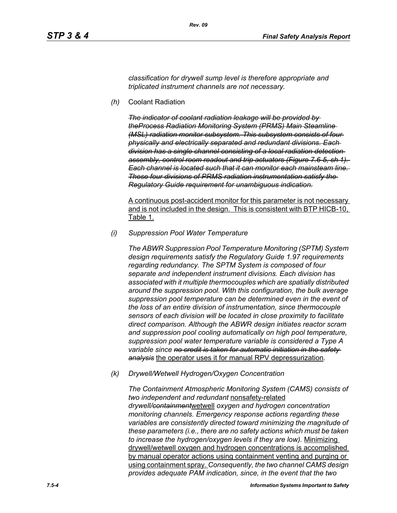*classification for drywell sump level is therefore appropriate and triplicated instrument channels are not necessary.*

*(h)* Coolant Radiation

*The indicator of coolant radiation leakage will be provided by theProcess Radiation Monitoring System (PRMS) Main Steamline (MSL) radiation monitor subsystem. This subsystem consists of four physically and electrically separated and redundant divisions. Each division has a single channel consisting of a local radiation detection assembly, control room readout and trip actuators (Figure 7.6-5, sh 1). Each channel is located such that it can monitor each mainsteam line. These four divisions of PRMS radiation instrumentation satisfy the Regulatory Guide requirement for unambiguous indication.*

A continuous post-accident monitor for this parameter is not necessary and is not included in the design. This is consistent with BTP HICB-10, Table 1.

*(i) Suppression Pool Water Temperature*

*The ABWR Suppression Pool Temperature Monitoring (SPTM) System design requirements satisfy the Regulatory Guide 1.97 requirements regarding redundancy. The SPTM System is composed of four separate and independent instrument divisions. Each division has associated with it multiple thermocouples which are spatially distributed around the suppression pool. With this configuration, the bulk average suppression pool temperature can be determined even in the event of the loss of an entire division of instrumentation, since thermocouple sensors of each division will be located in close proximity to facilitate direct comparison. Although the ABWR design initiates reactor scram and suppression pool cooling automatically on high pool temperature, suppression pool water temperature variable is considered a Type A variable since no credit is taken for automatic initiation in the safety analysis* the operator uses it for manual RPV depressurization*.*

*(k) Drywell/Wetwell Hydrogen/Oxygen Concentration*

*The Containment Atmospheric Monitoring System (CAMS) consists of two independent and redundant* nonsafety-related *drywell/containment*wetwell *oxygen and hydrogen concentration monitoring channels. Emergency response actions regarding these variables are consistently directed toward minimizing the magnitude of these parameters (i.e., there are no safety actions which must be taken to increase the hydrogen/oxygen levels if they are low).* Minimizing drywell/wetwell oxygen and hydrogen concentrations is accomplished by manual operator actions using containment venting and purging or using containment spray. *Consequently, the two channel CAMS design provides adequate PAM indication, since, in the event that the two*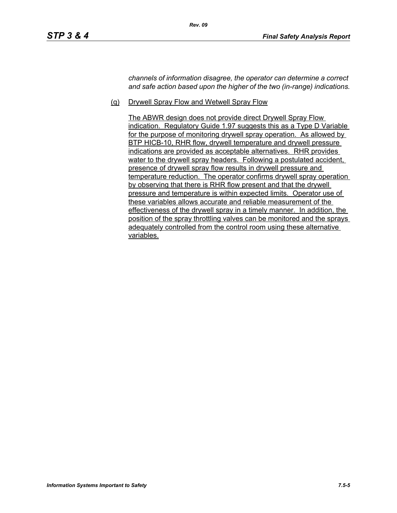*channels of information disagree, the operator can determine a correct and safe action based upon the higher of the two (in-range) indications.*

(q) Drywell Spray Flow and Wetwell Spray Flow

The ABWR design does not provide direct Drywell Spray Flow indication. Regulatory Guide 1.97 suggests this as a Type D Variable for the purpose of monitoring drywell spray operation. As allowed by BTP HICB-10, RHR flow, drywell temperature and drywell pressure indications are provided as acceptable alternatives. RHR provides water to the drywell spray headers. Following a postulated accident, presence of drywell spray flow results in drywell pressure and temperature reduction. The operator confirms drywell spray operation by observing that there is RHR flow present and that the drywell pressure and temperature is within expected limits. Operator use of these variables allows accurate and reliable measurement of the effectiveness of the drywell spray in a timely manner. In addition, the position of the spray throttling valves can be monitored and the sprays adequately controlled from the control room using these alternative variables.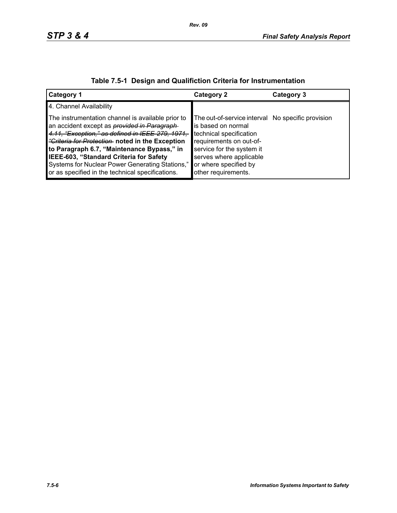| <b>Category 1</b>                                                                                                                                                                                                                                                                                                                                                                                                     | <b>Category 2</b>                                                                                                                                                                                                                     | Category 3 |
|-----------------------------------------------------------------------------------------------------------------------------------------------------------------------------------------------------------------------------------------------------------------------------------------------------------------------------------------------------------------------------------------------------------------------|---------------------------------------------------------------------------------------------------------------------------------------------------------------------------------------------------------------------------------------|------------|
| 4. Channel Availability                                                                                                                                                                                                                                                                                                                                                                                               |                                                                                                                                                                                                                                       |            |
| The instrumentation channel is available prior to<br>an accident except as <i>provided in Paragraph</i><br>4.11, "Exception," as defined in IEEE-279, 1971,<br><i>"Griteria for Protection</i> noted in the Exception<br>to Paragraph 6.7, "Maintenance Bypass," in<br>IEEE-603, "Standard Criteria for Safety<br>Systems for Nuclear Power Generating Stations,"<br>or as specified in the technical specifications. | The out-of-service interval No specific provision<br>is based on normal<br>technical specification<br>requirements on out-of-<br>service for the system it<br>serves where applicable<br>or where specified by<br>other requirements. |            |

# **Table 7.5-1 Design and Qualifiction Criteria for Instrumentation**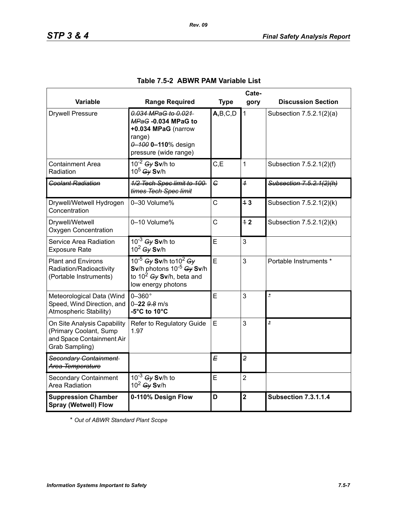|                                                                                                      | Cate-                                                                                                                      |              |                         |                             |
|------------------------------------------------------------------------------------------------------|----------------------------------------------------------------------------------------------------------------------------|--------------|-------------------------|-----------------------------|
| Variable                                                                                             | <b>Range Required</b>                                                                                                      | <b>Type</b>  | gory                    | <b>Discussion Section</b>   |
| <b>Drywell Pressure</b>                                                                              | 0.034 MPaG to 0.021<br>MPaG-0.034 MPaG to<br>+0.034 MPaG (narrow<br>range)<br>0-100 0-110% design<br>pressure (wide range) | A,B,C,D      | $\mathbf{1}$            | Subsection 7.5.2.1(2)(a)    |
| <b>Containment Area</b><br>Radiation                                                                 | $10^{-2}$ Gy Sv/h to<br>$10^5$ Gy Sv/h                                                                                     | C, E         | 1                       | Subsection 7.5.2.1(2)(f)    |
| <b>Coolant Radiation</b>                                                                             | 1/2 Tech Spec limit to 100-<br>times Tech Spec limit                                                                       | $\epsilon$   | $\overline{1}$          | Subsection 7.5.2.1(2)(h)    |
| Drywell/Wetwell Hydrogen<br>Concentration                                                            | 0-30 Volume%                                                                                                               | Ċ            | 43                      | Subsection 7.5.2.1(2)(k)    |
| Drywell/Wetwell<br><b>Oxygen Concentration</b>                                                       | 0-10 Volume%                                                                                                               | $\mathsf{C}$ | 42                      | Subsection 7.5.2.1(2)(k)    |
| Service Area Radiation<br><b>Exposure Rate</b>                                                       | $10^{-3}$ Gy Sv/h to<br>$10^2$ Gy Sv/h                                                                                     | Ē            | 3                       |                             |
| <b>Plant and Environs</b><br>Radiation/Radioactivity<br>(Portable Instruments)                       | 10-5 Gy Sv/h to 10 <sup>2</sup> Gy<br>Sv/h photons $10^{-5}$ Gy Sv/h<br>to $10^2$ Gy Sv/h, beta and<br>low energy photons  | E            | 3                       | Portable Instruments *      |
| Meteorological Data (Wind<br>Speed, Wind Direction, and<br>Atmospheric Stability)                    | $0-360$ °<br>0-22 9.8 m/s<br>-5°C to 10°C                                                                                  | Ē            | 3                       | $\mathbf{\dot{z}}$          |
| On Site Analysis Capability<br>(Primary Coolant, Sump<br>and Space Containment Air<br>Grab Sampling) | Refer to Regulatory Guide<br>1.97                                                                                          | Е            | 3                       | $\overline{\phantom{a}}$    |
| Secondary Containment<br>Area Temperature                                                            |                                                                                                                            | E            | $\overline{2}$          |                             |
| <b>Secondary Containment</b><br>Area Radiation                                                       | $10^{-3}$ Gy Sv/h to<br>$10^2$ Gy Sv/h                                                                                     | E            | $\overline{2}$          |                             |
| <b>Suppression Chamber</b><br><b>Spray (Wetwell) Flow</b>                                            | 0-110% Design Flow                                                                                                         | D            | $\overline{\mathbf{2}}$ | <b>Subsection 7.3.1.1.4</b> |

## **Table 7.5-2 ABWR PAM Variable List**

*Rev. 09*

\* *Out of ABWR Standard Plant Scope*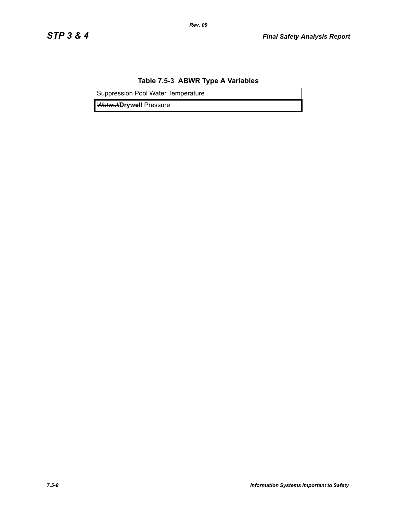## **Table 7.5-3 ABWR Type A Variables**

*Rev. 09*

Suppression Pool Water Temperature

*Wetwell***Drywell** Pressure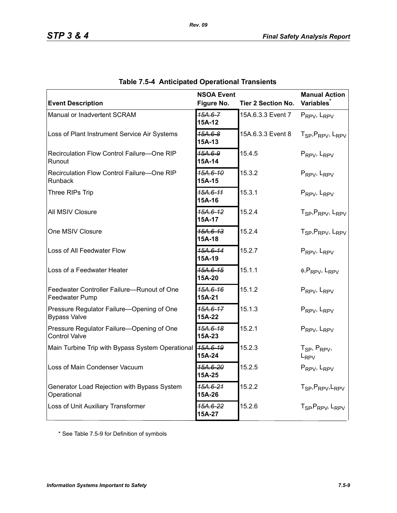| <b>Event Description</b>                                          | <b>NSOA Event</b><br>Figure No. | <b>Tier 2 Section No.</b> | <b>Manual Action</b><br>Variables <sup>*</sup>        |
|-------------------------------------------------------------------|---------------------------------|---------------------------|-------------------------------------------------------|
| Manual or Inadvertent SCRAM                                       | $15A.6 - 7$<br>15A-12           | 15A.6.3.3 Event 7         | PRPV, LRPV                                            |
| Loss of Plant Instrument Service Air Systems                      | $45A.6 - 8$<br>15A-13           | 15A.6.3.3 Event 8         | T <sub>SP</sub> , P <sub>RPV</sub> , L <sub>RPV</sub> |
| Recirculation Flow Control Failure-One RIP<br>Runout              | 15A.6-9<br>15A-14               | 15.4.5                    | PRPV, LRPV                                            |
| Recirculation Flow Control Failure-One RIP<br>Runback             | 15A.6-10<br>15A-15              | 15.3.2                    | PRPV, LRPV                                            |
| Three RIPs Trip                                                   | 15A.6-11<br>15A-16              | 15.3.1                    | PRPV, LRPV                                            |
| All MSIV Closure                                                  | 15A.6-12<br>15A-17              | 15.2.4                    | T <sub>SP</sub> , P <sub>RPV</sub> , L <sub>RPV</sub> |
| One MSIV Closure                                                  | $15A.6-13$<br>15A-18            | 15.2.4                    | T <sub>SP</sub> , P <sub>RPV</sub> , L <sub>RPV</sub> |
| Loss of All Feedwater Flow                                        | 15A.6-14<br>15A-19              | 15.2.7                    | PRPV, LRPV                                            |
| Loss of a Feedwater Heater                                        | 15A.6-15<br>15A-20              | 15.1.1                    | $\phi$ , P <sub>RPV</sub> , L <sub>RPV</sub>          |
| Feedwater Controller Failure-Runout of One<br>Feedwater Pump      | 15A.6-16<br>15A-21              | 15.1.2                    | PRPV, LRPV                                            |
| Pressure Regulator Failure-Opening of One<br><b>Bypass Valve</b>  | 15A.6-17<br>15A-22              | 15.1.3                    | PRPV, LRPV                                            |
| Pressure Regulator Failure-Opening of One<br><b>Control Valve</b> | <del>15A.6-18</del><br>15A-23   | 15.2.1                    | PRPV, LRPV                                            |
| Main Turbine Trip with Bypass System Operational                  | 15A.6-19<br>15A-24              | 15.2.3                    | T <sub>SP</sub> , P <sub>RPV</sub> ,<br>$L_{RPV}$     |
| Loss of Main Condenser Vacuum                                     | 15A.6-20<br>15A-25              | 15.2.5                    | $P_{RPV}$ , $L_{RPV}$                                 |
| Generator Load Rejection with Bypass System<br>Operational        | 15A.6-21<br>15A-26              | 15.2.2                    | T <sub>SP</sub> , P <sub>RPV</sub> , L <sub>RPV</sub> |
| Loss of Unit Auxiliary Transformer                                | 45A.6-22<br>15A-27              | 15.2.6                    | T <sub>SP</sub> , P <sub>RPV</sub> , L <sub>RPV</sub> |

|  | <b>Table 7.5-4 Anticipated Operational Transients</b> |  |  |
|--|-------------------------------------------------------|--|--|
|--|-------------------------------------------------------|--|--|

*Rev. 09*

\* See Table 7.5-9 for Definition of symbols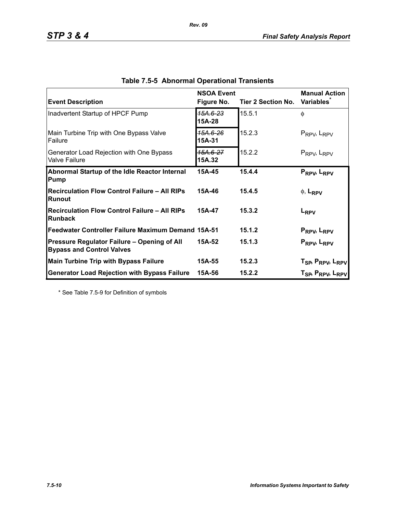| <b>Event Description</b>                                                        | <b>NSOA Event</b><br>Figure No. | Tier 2 Section No. | <b>Manual Action</b><br><b>Variables</b>                                                                       |
|---------------------------------------------------------------------------------|---------------------------------|--------------------|----------------------------------------------------------------------------------------------------------------|
| Inadvertent Startup of HPCF Pump                                                | 15A.6-23<br>15A-28              | 15.5.1             | $\phi$                                                                                                         |
| Main Turbine Trip with One Bypass Valve<br><b>Failure</b>                       | 15А.6-26<br>15A-31              | 15.2.3             | $P_{RPV}$ , $L_{RPV}$                                                                                          |
| Generator Load Rejection with One Bypass<br><b>Valve Failure</b>                | 15A.6-27<br>15A.32              | 15.2.2             | $P_{RPV}$ , $L_{RPV}$                                                                                          |
| Abnormal Startup of the Idle Reactor Internal<br>Pump                           | 15A-45                          | 15.4.4             | PRPV, LRPV                                                                                                     |
| <b>Recirculation Flow Control Failure - All RIPs</b><br>Runout                  | 15A-46                          | 15.4.5             | $\phi$ , L <sub>RPV</sub>                                                                                      |
| <b>Recirculation Flow Control Failure - All RIPs</b><br>Runback                 | 15A-47                          | 15.3.2             | L <sub>RPV</sub>                                                                                               |
| Feedwater Controller Failure Maximum Demand 15A-51                              |                                 | 15.1.2             | P <sub>RPV</sub> , L <sub>RPV</sub>                                                                            |
| Pressure Regulator Failure - Opening of All<br><b>Bypass and Control Valves</b> | 15A-52                          | 15.1.3             | PRPV <sub>b</sub> L <sub>RPV</sub>                                                                             |
| <b>Main Turbine Trip with Bypass Failure</b>                                    | 15A-55                          | 15.2.3             |                                                                                                                |
| <b>Generator Load Rejection with Bypass Failure</b>                             | 15A-56                          | 15.2.2             | T <sub>SP</sub> , P <sub>RPV</sub> , L <sub>RPV</sub><br>T <sub>SP</sub> , P <sub>RPV</sub> , L <sub>RPV</sub> |

*Rev. 09*

\* See Table 7.5-9 for Definition of symbols